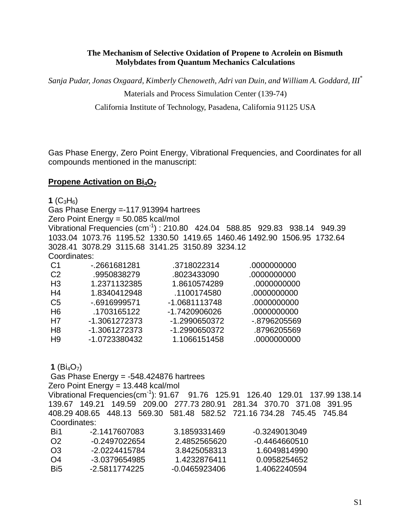#### **The Mechanism of Selective Oxidation of Propene to Acrolein on Bismuth Molybdates from Quantum Mechanics Calculations**

*Sanja Pudar, Jonas Oxgaard, Kimberly Chenoweth, Adri van Duin, and William A. Goddard, III\**

```
Materials and Process Simulation Center (139-74)
```
California Institute of Technology, Pasadena, California 91125 USA

Gas Phase Energy, Zero Point Energy, Vibrational Frequencies, and Coordinates for all compounds mentioned in the manuscript:

### **Propene Activation on Bi<sub>4</sub>O<sub>7</sub>**

**1**  $(C_3H_6)$ 

Gas Phase Energy =-117.913994 hartrees Zero Point Energy = 50.085 kcal/mol Vibrational Frequencies (cm-1) : 210.80 424.04 588.85 929.83 938.14 949.39 1033.04 1073.76 1195.52 1330.50 1419.65 1460.46 1492.90 1506.95 1732.64 3028.41 3078.29 3115.68 3141.25 3150.89 3234.12 Coordinates:

| -.2661681281  | .3718022314   | .0000000000  |
|---------------|---------------|--------------|
| .9950838279   | .8023433090   | .0000000000  |
| 1.2371132385  | 1.8610574289  | .0000000000  |
| 1.8340412948  | .1100174580   | .0000000000  |
| -.6916999571  | -1.0681113748 | .0000000000  |
| .1703165122   | -1.7420906026 | .0000000000  |
| -1.3061272373 | -1.2990650372 | -.8796205569 |
| -1.3061272373 | -1.2990650372 | .8796205569  |
| -1.0723380432 | 1.1066151458  | .0000000000  |
|               |               |              |

**1** ( $Bi_4O_7$ )

Gas Phase Energy = -548.424876 hartrees

Zero Point Energy = 13.448 kcal/mol

Vibrational Frequencies(cm-1): 91.67 91.76 125.91 126.40 129.01 137.99 138.14 139.67 149.21 149.59 209.00 277.73 280.91 281.34 370.70 371.08 391.95 408.29 408.65 448.13 569.30 581.48 582.52 721.16 734.28 745.45 745.84 Coordinates:

| Bi1            | -2.1417607083 | 3.1859331469  | -0.3249013049 |
|----------------|---------------|---------------|---------------|
| O <sub>2</sub> | -0.2497022654 | 2.4852565620  | -0.4464660510 |
| O.3            | -2.0224415784 | 3.8425058313  | 1.6049814990  |
| O4             | -3.0379654985 | 1.4232876411  | 0.0958254652  |
| Bi5            | -2.5811774225 | -0.0465923406 | 1.4062240594  |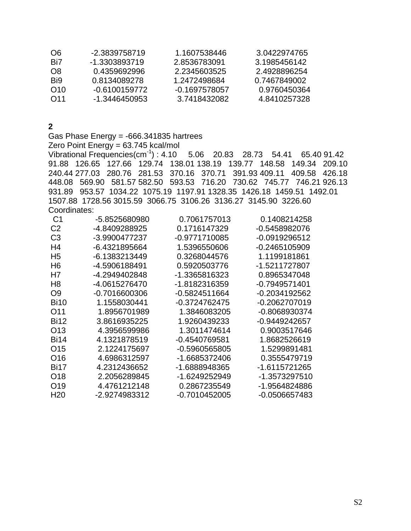| -2.3839758719 | 1.1607538446  | 3.0422974765 |
|---------------|---------------|--------------|
| -1.3303893719 | 2.8536783091  | 3.1985456142 |
| 0.4359692996  | 2.2345603525  | 2.4928896254 |
| 0.8134089278  | 1.2472498684  | 0.7467849002 |
| -0.6100159772 | -0.1697578057 | 0.9760450364 |
| -1.3446450953 | 3.7418432082  | 4.8410257328 |
|               |               |              |

**2**

Gas Phase Energy = -666.341835 hartrees Zero Point Energy = 63.745 kcal/mol Vibrational Frequencies(cm-1) : 4.10 5.06 20.83 28.73 54.41 65.40 91.42 91.88 126.65 127.66 129.74 138.01 138.19 139.77 148.58 149.34 209.10 240.44 277.03 280.76 281.53 370.16 370.71 391.93 409.11 409.58 426.18 448.08 569.90 581.57 582.50 593.53 716.20 730.62 745.77 746.21 926.13 931.89 953.57 1034.22 1075.19 1197.91 1328.35 1426.18 1459.51 1492.01 1507.88 1728.56 3015.59 3066.75 3106.26 3136.27 3145.90 3226.60 Coordinates:

| C1              | -5.8525680980 | 0.7061757013  | 0.1408214258  |
|-----------------|---------------|---------------|---------------|
| C <sub>2</sub>  | -4.8409288925 | 0.1716147329  | -0.5458982076 |
| C <sub>3</sub>  | -3.9900477237 | -0.9771710085 | -0.0919296512 |
| H4              | -6.4321895664 | 1.5396550606  | -0.2465105909 |
| H <sub>5</sub>  | -6.1383213449 | 0.3268044576  | 1.1199181861  |
| H <sub>6</sub>  | -4.5906188491 | 0.5920503776  | -1.5211727807 |
| H7              | -4.2949402848 | -1.3365816323 | 0.8965347048  |
| H8              | -4.0615276470 | -1.8182316359 | -0.7949571401 |
| O9              | -0.7016600306 | -0.5824511664 | -0.2034192562 |
| Bi10            | 1.1558030441  | -0.3724762475 | -0.2062707019 |
| O <sub>11</sub> | 1.8956701989  | 1.3846083205  | -0.8068930374 |
| <b>Bi12</b>     | 3.8616935225  | 1.9260439233  | -0.9449242657 |
| O <sub>13</sub> | 4.3956599986  | 1.3011474614  | 0.9003517646  |
| <b>Bi14</b>     | 4.1321878519  | -0.4540769581 | 1.8682526619  |
| O <sub>15</sub> | 2.1224175697  | -0.5960565805 | 1.5299891481  |
| O <sub>16</sub> | 4.6986312597  | -1.6685372406 | 0.3555479719  |
| <b>Bi17</b>     | 4.2312436652  | -1.6888948365 | -1.6115721265 |
| O <sub>18</sub> | 2.2056289845  | -1.6249252949 | -1.3573297510 |
| O <sub>19</sub> | 4.4761212148  | 0.2867235549  | -1.9564824886 |
| H <sub>20</sub> | -2.9274983312 | -0.7010452005 | -0.0506657483 |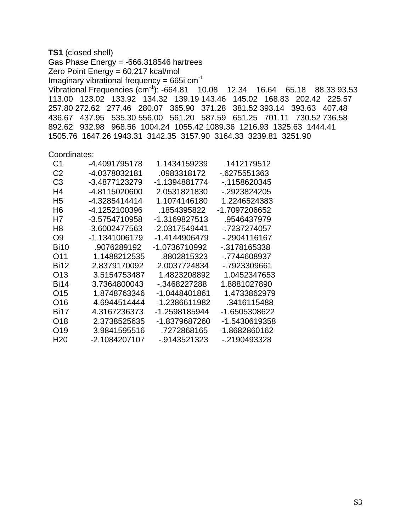**TS1** (closed shell) Gas Phase Energy = -666.318546 hartrees Zero Point Energy =  $60.217$  kcal/mol Imaginary vibrational frequency =  $665$ i cm<sup>-1</sup> Vibrational Frequencies (cm-1): -664.81 10.08 12.34 16.64 65.18 88.33 93.53 113.00 123.02 133.92 134.32 139.19 143.46 145.02 168.83 202.42 225.57 257.80 272.62 277.46 280.07 365.90 371.28 381.52 393.14 393.63 407.48 436.67 437.95 535.30 556.00 561.20 587.59 651.25 701.11 730.52 736.58 892.62 932.98 968.56 1004.24 1055.42 1089.36 1216.93 1325.63 1444.41 1505.76 1647.26 1943.31 3142.35 3157.90 3164.33 3239.81 3251.90

#### Coordinates:

| C1          | -4.4091795178 | 1 1434159239  | .1412179512   |
|-------------|---------------|---------------|---------------|
| C2          | -4.0378032181 | .0983318172   | -.6275551363  |
| C3          | -3.4877123279 | -1 1394881774 | - 1158620345  |
| H4          | -4.8115020600 | 2.0531821830  | - 2923824205  |
| H5          | -4.3285414414 | 1.1074146180  | 1.2246524383  |
| H6.         | -4.1252100396 | .1854395822   | -1.7097206652 |
| H7          | -3.5754710958 | -1.3169827513 | 9546437979    |
| H8          | -3.6002477563 | -2.0317549441 | - 7237274057  |
| O9          | -1.1341006179 | -1.4144906479 | -.2904116167  |
| <b>Bi10</b> | .9076289192   | -1.0736710992 | -.3178165338  |
| O11         | 1.1488212535  | .8802815323   | - 7744608937  |
| <b>Bi12</b> | 2.8379170092  | 2.0037724834  | - 7923309661  |
| O13         | 3.5154753487  | 1.4823208892  | 1.0452347653  |
| Bi14        | 3.7364800043  | - 3468227288  | 1.8881027890  |
| O15         | 1.8748763346  | -1.0448401861 | 1.4733862979  |
| O16         | 4.6944514444  | -1.2386611982 | 3416115488    |
| <b>Bi17</b> | 4.3167236373  | -1.2598185944 | -1.6505308622 |
| O18         | 2.3738525635  | -1.8379687260 | -1.5430619358 |
| O19         | 3.9841595516  | .7272868165   | -1.8682860162 |
| H20         | -2.1084207107 | -.9143521323  | -.2190493328  |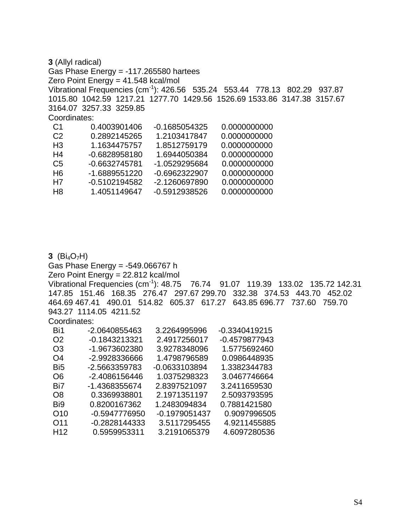**3** (Allyl radical) Gas Phase Energy =  $-117.265580$  hartees Zero Point Energy = 41.548 kcal/mol Vibrational Frequencies (cm-1): 426.56 535.24 553.44 778.13 802.29 937.87 1015.80 1042.59 1217.21 1277.70 1429.56 1526.69 1533.86 3147.38 3157.67 3164.07 3257.33 3259.85 Coordinates: C1 0.4003901406 -0.1685054325 0.0000000000 C2 0.2892145265 1.2103417847 0.0000000000 H3 1.1634475757 1.8512759179 0.0000000000 H4 -0.6828958180 1.6944050384 0.0000000000 C5 -0.6632745781 -1.0529295684 0.0000000000 H6 -1.6889551220 -0.6962322907 0.0000000000 H7 -0.5102194582 -2.1260697890 0.0000000000 H8 1.4051149647 -0.5912938526 0.0000000000

**3** ( $Bi_4O_7H$ ) Gas Phase Energy = -549.066767 h Zero Point Energy = 22.812 kcal/mol Vibrational Frequencies (cm-1): 48.75 76.74 91.07 119.39 133.02 135.72 142.31 147.85 151.46 168.35 276.47 297.67 299.70 332.38 374.53 443.70 452.02 464.69 467.41 490.01 514.82 605.37 617.27 643.85 696.77 737.60 759.70 943.27 1114.05 4211.52 Coordinates: Bi1 -2.0640855463 3.2264995996 -0.3340419215 O2 -0.1843213321 2.4917256017 -0.4579877943 O3 -1.9673602380 3.9278348096 1.5775692460 O4 -2.9928336666 1.4798796589 0.0986448935 Bi5 -2.5663359783 -0.0633103894 1.3382344783 O6 -2.4086156446 1.0375298323 3.0467746664 Bi7 -1.4368355674 2.8397521097 3.2411659530 O8 0.3369938801 2.1971351197 2.5093793595 Bi9 0.8200167362 1.2483094834 0.7881421580 O10 -0.5947776950 -0.1979051437 0.9097996505 O11 -0.2828144333 3.5117295455 4.9211455885

H12 0.5959953311 3.2191065379 4.6097280536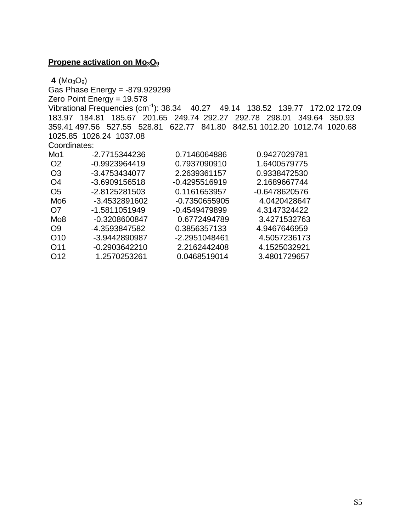# **Propene activation on Mo<sub>3</sub>O<sub>9</sub>**

**4** ( $MO_3O_9$ )

Gas Phase Energy = -879.929299 Zero Point Energy = 19.578 Vibrational Frequencies (cm-1): 38.34 40.27 49.14 138.52 139.77 172.02 172.09 183.97 184.81 185.67 201.65 249.74 292.27 292.78 298.01 349.64 350.93 359.41 497.56 527.55 528.81 622.77 841.80 842.51 1012.20 1012.74 1020.68 1025.85 1026.24 1037.08 Coordinates: Mo1 -2.7715344236 0.7146064886 0.9427029781 O2 -0.9923964419 0.7937090910 1.6400579775 O3 -3.4753434077 2.2639361157 0.9338472530 O4 -3.6909156518 -0.4295516919 2.1689667744 O5 -2.8125281503 0.1161653957 -0.6478620576 Mo6 -3.4532891602 -0.7350655905 4.0420428647 O7 -1.5811051949 -0.4549479899 4.3147324422 Mo8 -0.3208600847 0.6772494789 3.4271532763 O9 -4.3593847582 0.3856357133 4.9467646959 O10 -3.9442890987 -2.2951048461 4.5057236173 O11 -0.2903642210 2.2162442408 4.1525032921 O12 1.2570253261 0.0468519014 3.4801729657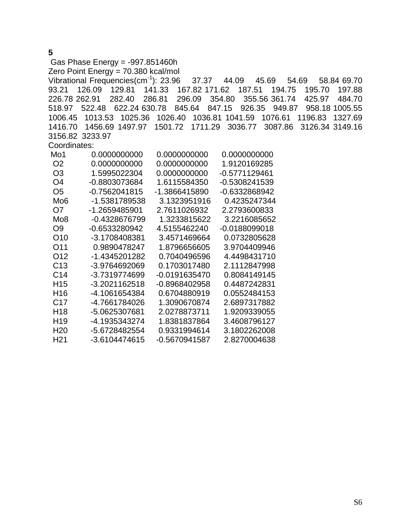Gas Phase Energy = -997.851460h Zero Point Energy = 70.380 kcal/mol Vibrational Frequencies(cm-1): 23.96 37.37 44.09 45.69 54.69 58.84 69.70 93.21 126.09 129.81 141.33 167.82 171.62 187.51 194.75 195.70 197.88 226.78 262.91 282.40 286.81 296.09 354.80 355.56 361.74 425.97 484.70 518.97 522.48 622.24 630.78 845.64 847.15 926.35 949.87 958.18 1005.55 1006.45 1013.53 1025.36 1026.40 1036.81 1041.59 1076.61 1196.83 1327.69 1416.70 1456.69 1497.97 1501.72 1711.29 3036.77 3087.86 3126.34 3149.16 3156.82 3233.97 Coordinates: Mo1 0.0000000000 0.0000000000 0.0000000000 O2 0.0000000000 0.0000000000 1.9120169285 O3 1.5995022304 0.0000000000 -0.5771129461 O4 -0.8803073684 1.6115584350 -0.5308241539 O5 -0.7562041815 -1.3866415890 -0.6332868942 Mo6 -1.5381789538 3.1323951916 0.4235247344 O7 -1.2659485901 2.7611026932 2.2793600833 Mo8 -0.4328676799 1.3233815622 3.2216085652 O9 -0.6533280942 4.5155462240 -0.0188099018 O10 -3.1708408381 3.4571469664 0.0732805628 O11 0.9890478247 1.8796656605 3.9704409946 O12 -1.4345201282 0.7040496596 4.4498431710 C13 -3.9764692069 0.1703017480 2.1112847998 C14 -3.7319774699 -0.0191635470 0.8084149145 H15 -3.2021162518 -0.8968402958 0.4487242831 H16 -4.1061654384 0.6704880919 0.0552484153 C17 -4.7661784026 1.3090670874 2.6897317882 H18 -5.0625307681 2.0278873711 1.9209339055 H19 -4.1935343274 1.8381837864 3.4608796127 H20 -5.6728482554 0.9331994614 3.1802262008 H21 -3.6104474615 -0.5670941587 2.8270004638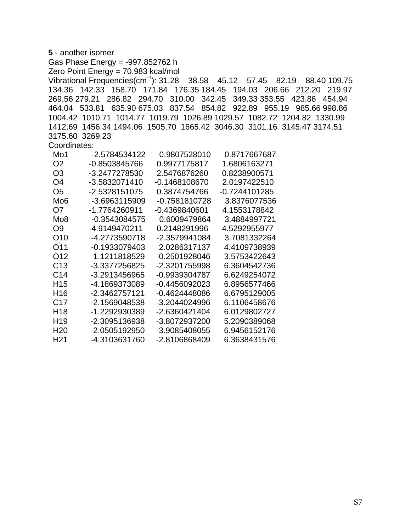| 5 - another isomer                                                                            |  |
|-----------------------------------------------------------------------------------------------|--|
| Gas Phase Energy = -997.852762 h                                                              |  |
| Zero Point Energy = 70.983 kcal/mol                                                           |  |
| Vibrational Frequencies $\text{(cm}^{-1})$ : 31.28 38.58 45.12 57.45<br>82.19<br>88.40 109.75 |  |
| 134.36  142.33  158.70  171.84  176.35  184.45  194.03  206.66  212.20  219.97                |  |
| 269.56 279.21 286.82 294.70 310.00 342.45 349.33 353.55 423.86 454.94                         |  |
| 464.04 533.81<br>635.90 675.03 837.54 854.82 922.89 955.19<br>985.66 998.86                   |  |
| 1004.42 1010.71 1014.77 1019.79 1026.89 1029.57 1082.72 1204.82 1330.99                       |  |
| 1412.69 1456.34 1494.06 1505.70 1665.42 3046.30 3101.16 3145.47 3174.51                       |  |
| 3175.60 3269.23                                                                               |  |
| Coordinates:                                                                                  |  |
| Mo1<br>0.9807528010<br>-2.5784534122<br>0.8717667687                                          |  |
| O <sub>2</sub><br>-0.8503845766<br>0.9977175817<br>1.6806163271                               |  |
| O <sub>3</sub><br>-3.2477278530<br>0.8238900571<br>2.5476876260                               |  |
| O <sub>4</sub><br>-3.5832071410<br>$-0.1468108670$<br>2.0197422510                            |  |
| O <sub>5</sub><br>-2.5328151075<br>0.3874754766<br>-0.7244101285                              |  |
| Mo <sub>6</sub><br>-3.6963115909<br>$-0.7581810728$<br>3.8376077536                           |  |
| O <sub>7</sub><br>-1.7764260911<br>$-0.4369840601$<br>4.1553178842                            |  |
| Mo <sub>8</sub><br>0.6009479864<br>$-0.3543084575$<br>3.4884997721                            |  |
| O <sub>9</sub><br>-4.9149470211<br>0.2148291996<br>4.5292955977                               |  |
| O10<br>-4.2773590718<br>-2.3579941084<br>3.7081332264                                         |  |
| O11<br>$-0.1933079403$<br>2.0286317137<br>4.4109738939                                        |  |
| O12<br>1.1211818529<br>$-0.2501928046$<br>3.5753422643                                        |  |
| C <sub>13</sub><br>-3.3377256825<br>-2.3201755998<br>6.3604542736                             |  |
| C14<br>-3.2913456965<br>-0.9939304787<br>6.6249254072                                         |  |
| H <sub>15</sub><br>-4.1869373089<br>$-0.4456092023$<br>6.8956577466                           |  |
| H <sub>16</sub><br>-2.3462757121<br>$-0.4624448086$<br>6.6795129005                           |  |
| C <sub>17</sub><br>-2.1569048538<br>-3.2044024996<br>6.1106458676                             |  |
| H <sub>18</sub><br>-1.2292930389<br>-2.6360421404<br>6.0129802727                             |  |
| H <sub>19</sub><br>-2.3095136938<br>-3.8072937200<br>5.2090389068                             |  |
| H <sub>20</sub><br>-2.0505192950<br>-3.9085408055<br>6.9456152176                             |  |
| H <sub>21</sub><br>-4.3103631760<br>-2.8106868409<br>6.3638431576                             |  |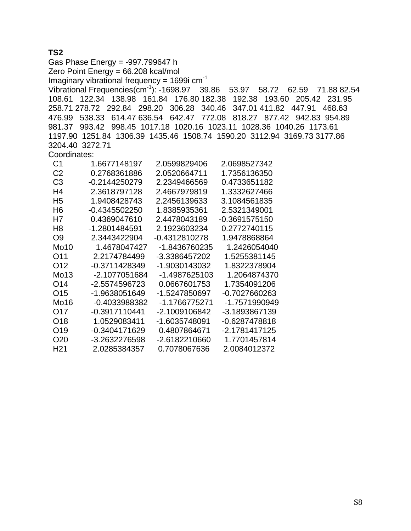# **TS2**

Gas Phase Energy = -997.799647 h Zero Point Energy = 66.208 kcal/mol Imaginary vibrational frequency =  $1699i$  cm<sup>-1</sup> Vibrational Frequencies(cm-1): -1698.97 39.86 53.97 58.72 62.59 71.88 82.54 108.61 122.34 138.98 161.84 176.80 182.38 192.38 193.60 205.42 231.95 258.71 278.72 292.84 298.20 306.28 340.46 347.01 411.82 447.91 468.63 476.99 538.33 614.47 636.54 642.47 772.08 818.27 877.42 942.83 954.89 981.37 993.42 998.45 1017.18 1020.16 1023.11 1028.36 1040.26 1173.61 1197.90 1251.84 1306.39 1435.46 1508.74 1590.20 3112.94 3169.73 3177.86 3204.40 3272.71 Coordinates: C1 1.6677148197 2.0599829406 2.0698527342 C2 0.2768361886 2.0520664711 1.7356136350 C3 -0.2144250279 2.2349466569 0.4733651182 H4 2.3618797128 2.4667979819 1.3332627466 H5 1.9408428743 2.2456139633 3.1084561835 H6 -0.4345502250 1.8385935361 2.5321349001 H7 0.4369047610 2.4478043189 -0.3691575150 H8 -1.2801484591 2.1923603234 0.2772740115 O9 2.3443422904 -0.4312810278 1.9478868864 Mo10 1.4678047427 -1.8436760235 1.2426054040 O11 2.2174784499 -3.3386457202 1.5255381145 O12 -0.3711428349 -1.9030143032 1.8322378904 Mo13 -2.1077051684 -1.4987625103 1.2064874370 O14 -2.5574596723 0.0667601753 1.7354091206 O15 -1.9638051649 -1.5247850697 -0.7027660263 Mo16 -0.4033988382 -1.1766775271 -1.7571990949 O17 -0.3917110441 -2.1009106842 -3.1893867139 O18 1.0529083411 -1.6035748091 -0.6287478818 O19 -0.3404171629 0.4807864671 -2.1781417125 O20 -3.2632276598 -2.6182210660 1.7701457814

H21 2.0285384357 0.7078067636 2.0084012372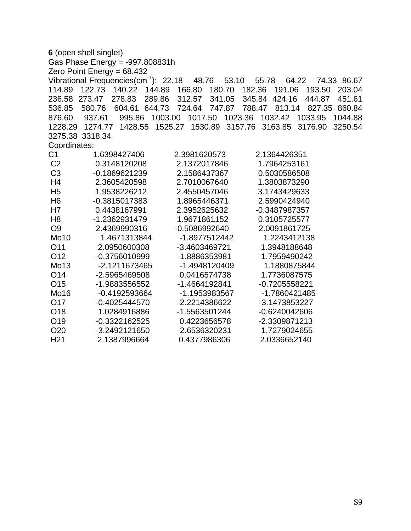|                 | 6 (open shell singlet)                            |                                      |                                      |  |
|-----------------|---------------------------------------------------|--------------------------------------|--------------------------------------|--|
|                 | Gas Phase Energy = -997.808831h                   |                                      |                                      |  |
|                 | Zero Point Energy = $68.432$                      |                                      |                                      |  |
|                 | Vibrational Frequencies(cm <sup>-1</sup> ): 22.18 | 48.76<br>53.10                       | 64.22<br>74.33 86.67<br>55.78        |  |
| 114.89          | 122.73<br>140.22<br>144.89                        | 166.80<br>180.70                     | 182.36<br>191.06<br>193.50<br>203.04 |  |
| 236.58 273.47   | 278.83<br>289.86                                  | 312.57<br>341.05                     | 345.84 424.16<br>444.87<br>451.61    |  |
| 536.85          | 604.61<br>644.73<br>580.76                        | 724.64<br>747.87                     | 788.47<br>813.14<br>827.35<br>860.84 |  |
| 876.60          | 937.61<br>995.86                                  | 1003.00<br>1017.50<br>1023.36        | 1032.42<br>1033.95<br>1044.88        |  |
|                 | 1228.29 1274.77                                   | 1428.55  1525.27  1530.89<br>3157.76 | 3163.85<br>3176.90<br>3250.54        |  |
|                 | 3275.38 3318.34                                   |                                      |                                      |  |
| Coordinates:    |                                                   |                                      |                                      |  |
| C <sub>1</sub>  | 1.6398427406                                      | 2.3981620573                         | 2.1364426351                         |  |
| C <sub>2</sub>  | 0.3148120208                                      | 2.1372017846                         | 1.7964253161                         |  |
| C <sub>3</sub>  | -0.1869621239                                     | 2.1586437367                         | 0.5030586508                         |  |
| H4              | 2.3605420598                                      | 2.7010067640                         | 1.3803873290                         |  |
| H <sub>5</sub>  | 1.9538226212                                      | 2.4550457046                         | 3.1743429633                         |  |
| H <sub>6</sub>  | -0.3815017383                                     | 1.8965446371                         | 2.5990424940                         |  |
| H7              | 0.4438167991                                      | 2.3952625632                         | -0.3487987357                        |  |
| H <sub>8</sub>  | -1.2362931479                                     | 1.9671861152                         | 0.3105725577                         |  |
| O <sub>9</sub>  | 2.4369990316                                      | -0.5086992640                        | 2.0091861725                         |  |
| <b>Mo10</b>     | 1.4671313844                                      | -1.8977512442                        | 1.2243412138                         |  |
| O11             | 2.0950600308                                      | -3.4603469721                        | 1.3948188648                         |  |
| O <sub>12</sub> | -0.3756010999                                     | -1.8886353981                        | 1.7959490242                         |  |
| Mo13            | -2.1211673465                                     | -1.4948120409                        | 1.1880875844                         |  |
| O14             | -2.5965469508                                     | 0.0416574738                         | 1.7736087575                         |  |
| O <sub>15</sub> | -1.9883556552                                     | -1.4664192841                        | -0.7205558221                        |  |
| Mo16            | -0.4192593664                                     | -1.1953983567                        | -1.7860421485                        |  |
| O17             | $-0.4025444570$                                   | -2.2214386622                        | -3.1473853227                        |  |
| O18             | 1.0284916886                                      | -1.5563501244                        | -0.6240042606                        |  |
| O19             | $-0.3322162525$                                   | 0.4223656578                         | -2.3309871213                        |  |
| O <sub>20</sub> | -3.2492121650                                     | -2.6536320231                        | 1.7279024655                         |  |
| H <sub>21</sub> | 2.1387996664                                      | 0.4377986306                         | 2.0336652140                         |  |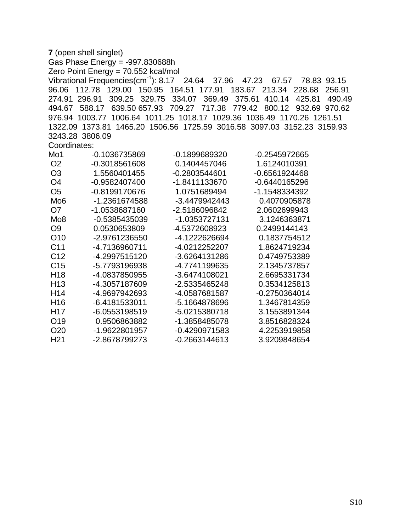|                 | 7 (open shell singlet)                                        |                      |                                                                                 |
|-----------------|---------------------------------------------------------------|----------------------|---------------------------------------------------------------------------------|
|                 | Gas Phase Energy = -997.830688h                               |                      |                                                                                 |
|                 | Zero Point Energy = 70.552 kcal/mol                           |                      |                                                                                 |
|                 | Vibrational Frequencies $\text{(cm}^{-1})$ : 8.17 24.64 37.96 |                      | 47.23<br>67.57<br>78.83 93.15                                                   |
|                 | 96.06 112.78 129.00 150.95 164.51 177.91                      |                      | 183.67<br>213.34<br>228.68<br>256.91                                            |
| 274.91 296.91   | 309.25                                                        | 329.75 334.07 369.49 | 375.61 410.14<br>425.81<br>490.49                                               |
|                 | 494.67 588.17<br>639.50 657.93                                | 709.27 717.38        | 779.42 800.12<br>932.69 970.62                                                  |
|                 |                                                               |                      | 976.94 1003.77 1006.64 1011.25 1018.17 1029.36 1036.49 1170.26 1261.51          |
|                 |                                                               |                      | 1322.09  1373.81  1465.20  1506.56  1725.59  3016.58  3097.03  3152.23  3159.93 |
|                 | 3243.28 3806.09                                               |                      |                                                                                 |
| Coordinates:    |                                                               |                      |                                                                                 |
| Mo1             | -0.1036735869                                                 | -0.1899689320        | -0.2545972665                                                                   |
| O <sub>2</sub>  | $-0.3018561608$                                               | 0.1404457046         | 1.6124010391                                                                    |
| O <sub>3</sub>  | 1.5560401455                                                  | $-0.2803544601$      | $-0.6561924468$                                                                 |
| O <sub>4</sub>  | -0.9582407400                                                 | -1.8411133670        | -0.6440165296                                                                   |
| O <sub>5</sub>  | -0.8199170676                                                 | 1.0751689494         | -1.1548334392                                                                   |
| Mo <sub>6</sub> | -1.2361674588                                                 | -3.4479942443        | 0.4070905878                                                                    |
| O7              | -1.0538687160                                                 | -2.5186096842        | 2.0602699943                                                                    |
| Mo <sub>8</sub> | -0.5385435039                                                 | -1.0353727131        | 3.1246363871                                                                    |
| O <sub>9</sub>  | 0.0530653809                                                  | -4.5372608923        | 0.2499144143                                                                    |
| O <sub>10</sub> | -2.9761236550                                                 | -4.1222626694        | 0.1837754512                                                                    |
| C <sub>11</sub> | -4.7136960711                                                 | -4.0212252207        | 1.8624719234                                                                    |
| C <sub>12</sub> | -4.2997515120                                                 | -3.6264131286        | 0.4749753389                                                                    |
| C <sub>15</sub> | -5.7793196938                                                 | -4.7741199635        | 2.1345737857                                                                    |
| H <sub>18</sub> | -4.0837850955                                                 | -3.6474108021        | 2.6695331734                                                                    |
| H <sub>13</sub> | -4.3057187609                                                 | -2.5335465248        | 0.3534125813                                                                    |
| H14             | -4.9697942693                                                 | -4.0587681587        | $-0.2750364014$                                                                 |
| H <sub>16</sub> | -6.4181533011                                                 | -5.1664878696        | 1.3467814359                                                                    |
| H <sub>17</sub> | -6.0553198519                                                 | -5.0215380718        | 3.1553891344                                                                    |
| O <sub>19</sub> | 0.9506863882                                                  | -1.3858485078        | 3.8516828324                                                                    |
| O <sub>20</sub> | -1.9622801957                                                 | $-0.4290971583$      | 4.2253919858                                                                    |
| H <sub>21</sub> | -2.8678799273                                                 | $-0.2663144613$      | 3.9209848654                                                                    |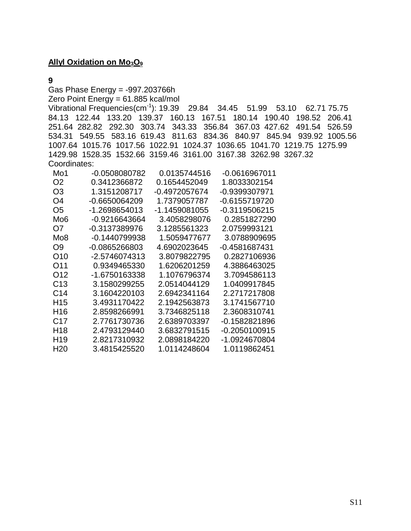# **Allyl Oxidation on Mo<sub>3</sub>O<sub>9</sub>**

#### **9**

Gas Phase Energy = -997.203766h

Zero Point Energy = 61.885 kcal/mol

Vibrational Frequencies(cm-1): 19.39 29.84 34.45 51.99 53.10 62.71 75.75 84.13 122.44 133.20 139.37 160.13 167.51 180.14 190.40 198.52 206.41 251.64 282.82 292.30 303.74 343.33 356.84 367.03 427.62 491.54 526.59 534.31 549.55 583.16 619.43 811.63 834.36 840.97 845.94 939.92 1005.56 1007.64 1015.76 1017.56 1022.91 1024.37 1036.65 1041.70 1219.75 1275.99 1429.98 1528.35 1532.66 3159.46 3161.00 3167.38 3262.98 3267.32 Coordinates:

| Mo1             | -0.0508080782 | 0.0135744516  | -0.0616967011   |
|-----------------|---------------|---------------|-----------------|
| O2              | 0.3412366872  | 0.1654452049  | 1.8033302154    |
| O3              | 1.3151208717  | -0.4972057674 | -0.9399307971   |
| O4              | -0.6650064209 | 1.7379057787  | -0.6155719720   |
| O5              | -1.2698654013 | -1.1459081055 | -0.3119506215   |
| Mo6             | -0.9216643664 | 3.4058298076  | 0.2851827290    |
| O7              | -0.3137389976 | 3.1285561323  | 2.0759993121    |
| Mo8             | -0.1440799938 | 1.5059477677  | 3.0788909695    |
| O9              | -0.0865266803 | 4.6902023645  | -0.4581687431   |
| O10             | -2.5746074313 | 3.8079822795  | 0.2827106936    |
| O11             | 0.9349465330  | 1.6206201259  | 4.3886463025    |
| O12             | -1.6750163338 | 1.1076796374  | 3.7094586113    |
| C13             | 3.1580299255  | 2.0514044129  | 1.0409917845    |
| C <sub>14</sub> | 3.1604220103  | 2.6942341164  | 2.2717217808    |
| H15             | 3.4931170422  | 2.1942563873  | 3.1741567710    |
| H16             | 2.8598266991  | 3.7346825118  | 2.3608310741    |
| C <sub>17</sub> | 2.7761730736  | 2.6389703397  | -0.1582821896   |
| H18             | 2.4793129440  | 3.6832791515  | $-0.2050100915$ |
| H19             | 2.8217310932  | 2.0898184220  | -1.0924670804   |
| H <sub>20</sub> | 3.4815425520  | 1.0114248604  | 1.0119862451    |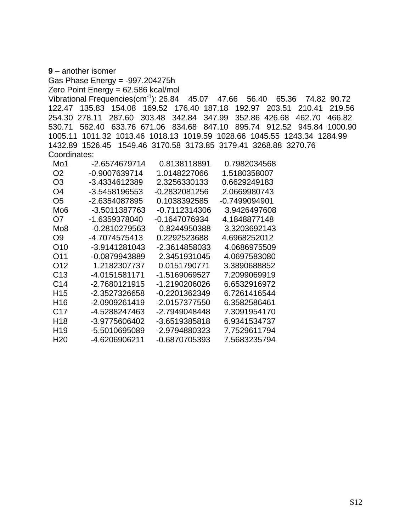**9** – another isomer

Gas Phase Energy = -997.204275h

Zero Point Energy = 62.586 kcal/mol

Vibrational Frequencies(cm-1): 26.84 45.07 47.66 56.40 65.36 74.82 90.72 122.47 135.83 154.08 169.52 176.40 187.18 192.97 203.51 210.41 219.56 254.30 278.11 287.60 303.48 342.84 347.99 352.86 426.68 462.70 466.82 530.71 562.40 633.76 671.06 834.68 847.10 895.74 912.52 945.84 1000.90 1005.11 1011.32 1013.46 1018.13 1019.59 1028.66 1045.55 1243.34 1284.99 1432.89 1526.45 1549.46 3170.58 3173.85 3179.41 3268.88 3270.76 Coordinates:

| Mo <sub>1</sub> | -2.6574679714 | 0.8138118891  | 0.7982034568  |
|-----------------|---------------|---------------|---------------|
| O2              | -0.9007639714 | 1.0148227066  | 1.5180358007  |
| O3              | -3.4334612389 | 2.3256330133  | 0.6629249183  |
| O4              | -3.5458196553 | -0.2832081256 | 2.0669980743  |
| O5              | -2.6354087895 | 0.1038392585  | -0.7499094901 |
| Mo6             | -3.5011387763 | -0.7112314306 | 3.9426497608  |
| O7              | -1.6359378040 | -0.1647076934 | 4.1848877148  |
| Mo8             | -0.2810279563 | 0.8244950388  | 3.3203692143  |
| O9              | -4.7074575413 | 0.2292523688  | 4.6968252012  |
| O10             | -3.9141281043 | -2.3614858033 | 4.0686975509  |
| O11             | -0.0879943889 | 2.3451931045  | 4.0697583080  |
| O12             | 1.2182307737  | 0.0151790771  | 3.3890688852  |
| C <sub>13</sub> | -4.0151581171 | -1.5169069527 | 7.2099069919  |
| C14             | -2.7680121915 | -1.2190206026 | 6.6532916972  |
| H <sub>15</sub> | -2.3527326658 | -0.2201362349 | 6.7261416544  |
| H <sub>16</sub> | -2.0909261419 | -2.0157377550 | 6.3582586461  |
| C <sub>17</sub> | -4.5288247463 | -2.7949048448 | 7.3091954170  |
| H18             | -3.9775606402 | -3.6519385818 | 6.9341534737  |
| H <sub>19</sub> | -5.5010695089 | -2.9794880323 | 7.7529611794  |
| H20             | -4.6206906211 | -0.6870705393 | 7.5683235794  |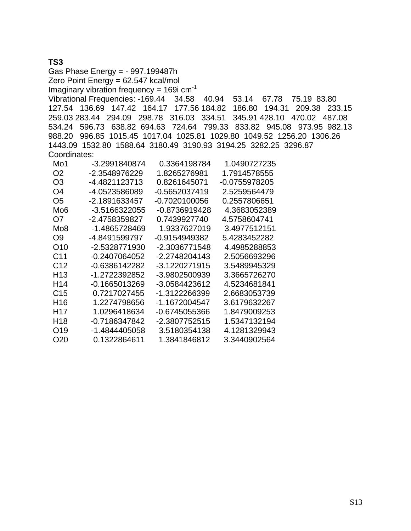## **TS3**

Gas Phase Energy = - 997.199487h Zero Point Energy = 62.547 kcal/mol Imaginary vibration frequency =  $169i$  cm<sup>-1</sup> Vibrational Frequencies: -169.44 34.58 40.94 53.14 67.78 75.19 83.80 127.54 136.69 147.42 164.17 177.56 184.82 186.80 194.31 209.38 233.15 259.03 283.44 294.09 298.78 316.03 334.51 345.91 428.10 470.02 487.08 534.24 596.73 638.82 694.63 724.64 799.33 833.82 945.08 973.95 982.13 988.20 996.85 1015.45 1017.04 1025.81 1029.80 1049.52 1256.20 1306.26 1443.09 1532.80 1588.64 3180.49 3190.93 3194.25 3282.25 3296.87 Coordinates:

| Mo1             | -3.2991840874   | 0.3364198784  | 1.0490727235  |
|-----------------|-----------------|---------------|---------------|
| O2              | -2.3548976229   | 1.8265276981  | 1.7914578555  |
| O <sub>3</sub>  | -4.4821123713   | 0.8261645071  | -0.0755978205 |
| O4              | -4.0523586089   | -0.5652037419 | 2.5259564479  |
| O5              | -2.1891633457   | -0.7020100056 | 0.2557806651  |
| Mo6             | -3.5166322055   | -0.8736919428 | 4.3683052389  |
| O7              | -2.4758359827   | 0.7439927740  | 4.5758604741  |
| Mo8             | -1 4865728469   | 1.9337627019  | 3.4977512151  |
| O9              | -4.8491599797   | -0.9154949382 | 5.4283452282  |
| O10             | -2.5328771930   | -2.3036771548 | 4.4985288853  |
| C <sub>11</sub> | -0.2407064052   | -2.2748204143 | 2.5056693296  |
| C <sub>12</sub> | $-0.6386142282$ | -3.1220271915 | 3.5489945329  |
| H <sub>13</sub> | -1.2722392852   | -3.9802500939 | 3.3665726270  |
| H14             | $-0.1665013269$ | -3.0584423612 | 4.5234681841  |
| C <sub>15</sub> | 0.7217027455    | -1.3122266399 | 2.6683053739  |
| H16             | 1.2274798656    | -1.1672004547 | 3.6179632267  |
| H <sub>17</sub> | 1.0296418634    | -0.6745055366 | 1.8479009253  |
| H18             | -0.7186347842   | -2.3807752515 | 1.5347132194  |
| O19             | -1.4844405058   | 3.5180354138  | 4.1281329943  |
| O20             | 0.1322864611    | 1.3841846812  | 3.3440902564  |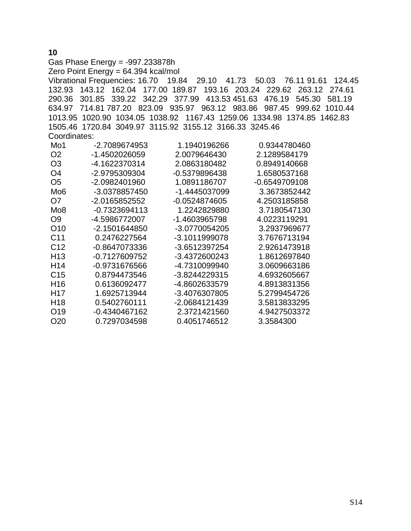### Gas Phase Energy = -997.233878h Zero Point Energy = 64.394 kcal/mol Vibrational Frequencies: 16.70 19.84 29.10 41.73 50.03 76.11 91.61 124.45 132.93 143.12 162.04 177.00 189.87 193.16 203.24 229.62 263.12 274.61 290.36 301.85 339.22 342.29 377.99 413.53 451.63 476.19 545.30 581.19 634.97 714.81 787.20 823.09 935.97 963.12 983.86 987.45 999.62 1010.44 1013.95 1020.90 1034.05 1038.92 1167.43 1259.06 1334.98 1374.85 1462.83 1505.46 1720.84 3049.97 3115.92 3155.12 3166.33 3245.46 Coordinates:

| Mo1             | -2.7089674953   | 1.1940196266    | 0.9344780460  |
|-----------------|-----------------|-----------------|---------------|
| O <sub>2</sub>  | -1.4502026059   | 2.0079646430    | 2.1289584179  |
| O <sub>3</sub>  | -4.1622370314   | 2.0863180482    | 0.8949140668  |
| O4              | -2.9795309304   | -0.5379896438   | 1.6580537168  |
| O5              | -2.0982401960   | 1.0891186707    | -0.6549709108 |
| Mo6             | -3.0378857450   | -1.4445037099   | 3.3673852442  |
| O7              | -2.0165852552   | $-0.0524874605$ | 4.2503185858  |
| Mo8             | $-0.7323694113$ | 1.2242829880    | 3.7180547130  |
| O9              | -4.5986772007   | -1.4603965798   | 4.0223119291  |
| O <sub>10</sub> | -2.1501644850   | -3.0770054205   | 3.2937969677  |
| C <sub>11</sub> | 0.2476227564    | -3.1011999078   | 3.7676713194  |
| C <sub>12</sub> | -0.8647073336   | -3.6512397254   | 2.9261473918  |
| H <sub>13</sub> | -0.7127609752   | -3.4372600243   | 1.8612697840  |
| H <sub>14</sub> | -0.9731676566   | -4.7310099940   | 3.0609663186  |
| C <sub>15</sub> | 0.8794473546    | -3.8244229315   | 4.6932605667  |
| H <sub>16</sub> | 0.6136092477    | -4.8602633579   | 4.8913831356  |
| H <sub>17</sub> | 1.6925713944    | -3.4076307805   | 5.2799454726  |
| H <sub>18</sub> | 0.5402760111    | -2.0684121439   | 3.5813833295  |
| O <sub>19</sub> | -0.4340467162   | 2.3721421560    | 4.9427503372  |
| O <sub>20</sub> | 0.7297034598    | 0.4051746512    | 3.3584300     |

**10**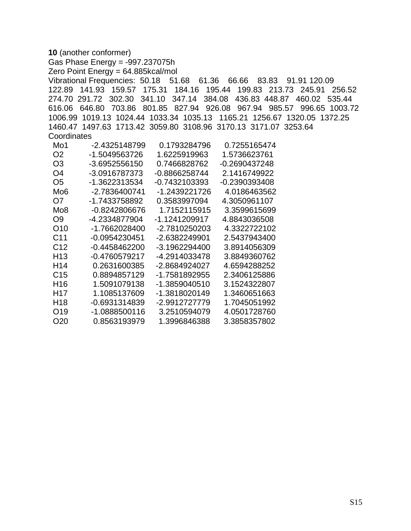```
10 (another conformer) 
Gas Phase Energy = -997.237075h 
Zero Point Energy = 64.885kcal/mol 
Vibrational Frequencies: 50.18 51.68 61.36 66.66 83.83 91.91 120.09 
122.89 141.93 159.57 175.31 184.16 195.44 199.83 213.73 245.91 256.52 
274.70 291.72 302.30 341.10 347.14 384.08 436.83 448.87 460.02 535.44 
616.06 646.80 703.86 801.85 827.94 926.08 967.94 985.57 996.65 1003.72 
1006.99 1019.13 1024.44 1033.34 1035.13 1165.21 1256.67 1320.05 1372.25 
1460.47 1497.63 1713.42 3059.80 3108.96 3170.13 3171.07 3253.64 
Coordinates
  Mo1 -2.4325148799 0.1793284796 0.7255165474 
 O2 -1.5049563726 1.6225919963 1.5736623761 
 O3 -3.6952556150 0.7466828762 -0.2690437248 
 O4 -3.0916787373 -0.8866258744 2.1416749922 
 O5 -1.3622313534 -0.7432103393 -0.2390393408 
Mo6 -2.7836400741 -1.2439221726 4.0186463562
 O7 -1.7433758892 0.3583997094 4.3050961107 
Mo8 -0.8242806676  1.7152115915  3.3599615699
 O9 -4.2334877904 -1.1241209917 4.8843036508 
 O10 -1.7662028400 -2.7810250203 4.3322722102 
C11 -0.0954230451 -2.6382249901 2.5437943400
 C12 -0.4458462200 -3.1962294400 3.8914056309 
 H13 -0.4760579217 -4.2914033478 3.8849360762 
 H14 0.2631600385 -2.8684924027 4.6594288252 
 C15 0.8894857129 -1.7581892955 2.3406125886 
 H16 1.5091079138 -1.3859040510 3.1524322807 
 H17 1.1085137609 -1.3818020149 1.3460651663 
 H18 -0.6931314839 -2.9912727779 1.7045051992 
 O19 -1.0888500116 3.2510594079 4.0501728760 
 O20 0.8563193979 1.3996846388 3.3858357802
```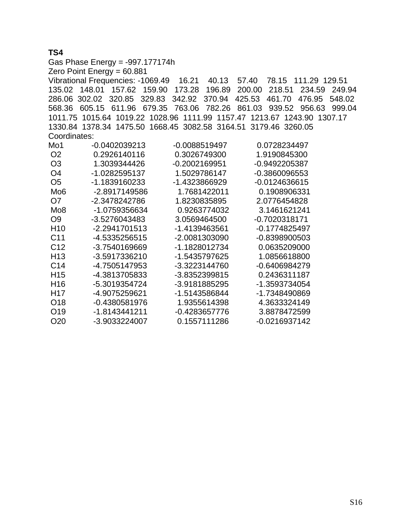# **TS4**

Gas Phase Energy = -997.177174h Zero Point Energy = 60.881 Vibrational Frequencies: -1069.49 16.21 40.13 57.40 78.15 111.29 129.51 135.02 148.01 157.62 159.90 173.28 196.89 200.00 218.51 234.59 249.94 286.06 302.02 320.85 329.83 342.92 370.94 425.53 461.70 476.95 548.02 568.36 605.15 611.96 679.35 763.06 782.26 861.03 939.52 956.63 999.04 1011.75 1015.64 1019.22 1028.96 1111.99 1157.47 1213.67 1243.90 1307.17 1330.84 1378.34 1475.50 1668.45 3082.58 3164.51 3179.46 3260.05 Coordinates: Mo1 -0.0402039213 -0.0088519497 0.0728234497 O2 0.2926140116 0.3026749300 1.9190845300 O3 1.3039344426 -0.2002169951 -0.9492205387 O4 -1.0282595137 1.5029786147 -0.3860096553 O5 -1.1839160233 -1.4323866929 -0.0124636615 Mo6 -2.8917149586 1.7681422011 0.1908906331 O7 -2.3478242786 1.8230835895 2.0776454828 Mo8 -1.0759356634 0.9263774032 3.1461621241 O9 -3.5276043483 3.0569464500 -0.7020318171 H10 -2.2941701513 -1.4139463561 -0.1774825497 C11 -4.5335256515 -2.0081303090 -0.8398900503 C12 -3.7540169669 -1.1828012734 0.0635209000 H13 -3.5917336210 -1.5435797625 1.0856618800 C14 -4.7505147953 -3.3223144760 -0.6406984279 H15 -4.3813705833 -3.8352399815 0.2436311187 H16 -5.3019354724 -3.9181885295 -1.3593734054 H17 -4.9075259621 -1.5143586844 -1.7348490869 O18 -0.4380581976 1.9355614398 4.3633324149 O19 -1.8143441211 -0.4283657776 3.8878472599 O20 -3.9033224007 0.1557111286 -0.0216937142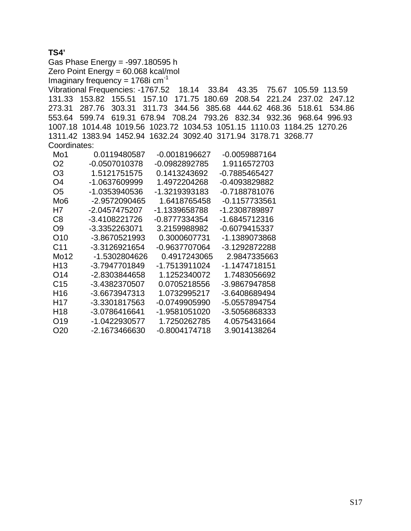# **TS4'**

Gas Phase Energy = -997.180595 h Zero Point Energy = 60.068 kcal/mol Imaginary frequency =  $1768$ i cm<sup>-1</sup> Vibrational Frequencies: -1767.52 18.14 33.84 43.35 75.67 105.59 113.59 131.33 153.82 155.51 157.10 171.75 180.69 208.54 221.24 237.02 247.12 273.31 287.76 303.31 311.73 344.56 385.68 444.62 468.36 518.61 534.86 553.64 599.74 619.31 678.94 708.24 793.26 832.34 932.36 968.64 996.93 1007.18 1014.48 1019.56 1023.72 1034.53 1051.15 1110.03 1184.25 1270.26 1311.42 1383.94 1452.94 1632.24 3092.40 3171.94 3178.71 3268.77 Coordinates: Mo1 0.0119480587 -0.0018196627 -0.0059887164 O2 -0.0507010378 -0.0982892785 1.9116572703 O3 1.5121751575 0.1413243692 -0.7885465427 O4 -1.0637609999 1.4972204268 -0.4093829882 O5 -1.0353940536 -1.3219393183 -0.7188781076 Mo6 -2.9572090465 1.6418765458 -0.1157733561 H7 -2.0457475207 -1.1339658788 -1.2308789897 C8 -3.4108221726 -0.8777334354 -1.6845712316 O9 -3.3352263071 3.2159988982 -0.6079415337 O10 -3.8670521993 0.3000607731 -1.1389073868 C11 -3.3126921654 -0.9637707064 -3.1292872288 Mo12 -1.5302804626 0.4917243065 2.9847335663 H13 -3.7947701849 -1.7513911024 -1.1474718151 O14 -2.8303844658 1.1252340072 1.7483056692 C15 -3.4382370507 0.0705218556 -3.9867947858 H16 -3.6673947313 1.0732995217 -3.6408689494 H17 -3.3301817563 -0.0749905990 -5.0557894754 H18 -3.0786416641 -1.9581051020 -3.5056868333 O19 -1.0422930577 1.7250262785 4.0575431664 O20 -2.1673466630 -0.8004174718 3.9014138264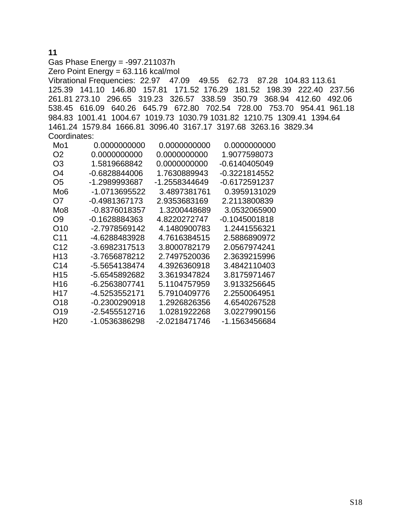## **11**  Gas Phase Energy = -997.211037h Zero Point Energy = 63.116 kcal/mol Vibrational Frequencies: 22.97 47.09 49.55 62.73 87.28 104.83 113.61 125.39 141.10 146.80 157.81 171.52 176.29 181.52 198.39 222.40 237.56 261.81 273.10 296.65 319.23 326.57 338.59 350.79 368.94 412.60 492.06 538.45 616.09 640.26 645.79 672.80 702.54 728.00 753.70 954.41 961.18 984.83 1001.41 1004.67 1019.73 1030.79 1031.82 1210.75 1309.41 1394.64 1461.24 1579.84 1666.81 3096.40 3167.17 3197.68 3263.16 3829.34 Coordinates: Mo1 0.0000000000 0.0000000000 0.0000000000

| IVIO T          | <u>U.UUUUUUUUUU</u> | <u>U.UUUUUUUUUU</u> | <u>U.UUUUUUUUU</u> |
|-----------------|---------------------|---------------------|--------------------|
| O <sub>2</sub>  | 0.0000000000        | 0.0000000000        | 1.9077598073       |
| O3              | 1.5819668842        | 0.0000000000        | -0.6140405049      |
| O4              | -0.6828844006       | 1.7630889943        | -0.3221814552      |
| O5              | -1.2989993687       | -1.2558344649       | -0.6172591237      |
| Mo <sub>6</sub> | -1.0713695522       | 3.4897381761        | 0.3959131029       |
| O7              | -0.4981367173       | 2.9353683169        | 2.2113800839       |
| Mo <sub>8</sub> | -0.8376018357       | 1.3200448689        | 3.0532065900       |
| O9              | -0.1628884363       | 4.8220272747        | -0.1045001818      |
| O10             | -2.7978569142       | 4.1480900783        | 1.2441556321       |
| C <sub>11</sub> | -4.6288483928       | 4.7616384515        | 2.5886890972       |
| C <sub>12</sub> | -3.6982317513       | 3.8000782179        | 2.0567974241       |
| H <sub>13</sub> | -3.7656878212       | 2.7497520036        | 2.3639215996       |
| C <sub>14</sub> | -5.5654138474       | 4.3926360918        | 3.4842110403       |
| H <sub>15</sub> | -5.6545892682       | 3.3619347824        | 3.8175971467       |
| H <sub>16</sub> | -6.2563807741       | 5.1104757959        | 3.9133256645       |
| H <sub>17</sub> | -4.5253552171       | 5.7910409776        | 2.2550064951       |
| O18             | -0.2300290918       | 1.2926826356        | 4.6540267528       |
| O19             | -2.5455512716       | 1.0281922268        | 3.0227990156       |
| H <sub>20</sub> | -1.0536386298       | -2.0218471746       | -1.1563456684      |
|                 |                     |                     |                    |

S18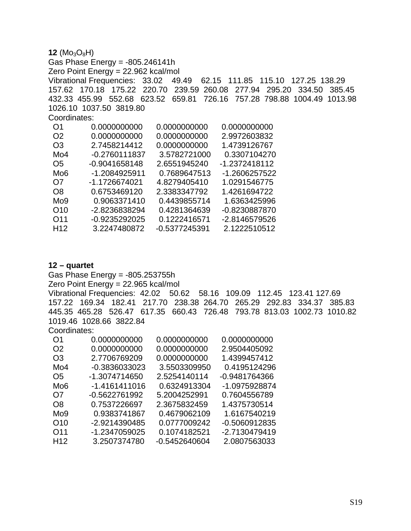$12 \text{ (Mo}_3\text{O}_8\text{H)}$ Gas Phase Energy = -805.246141h Zero Point Energy = 22.962 kcal/mol Vibrational Frequencies: 33.02 49.49 62.15 111.85 115.10 127.25 138.29 157.62 170.18 175.22 220.70 239.59 260.08 277.94 295.20 334.50 385.45 432.33 455.99 552.68 623.52 659.81 726.16 757.28 798.88 1004.49 1013.98 1026.10 1037.50 3819.80 Coordinates: O1 0.0000000000 0.0000000000 0.0000000000 O2 0.0000000000 0.0000000000 2.9972603832 O3 2.7458214412 0.0000000000 1.4739126767 Mo4 -0.2760111837 3.5782721000 0.3307104270 O5 -0.9041658148 2.6551945240 -1.2372418112 Mo6 -1.2084925911 0.7689647513 -1.2606257522 O7 -1.1726674021 4.8279405410 1.0291546775 O8 0.6753469120 2.3383347792 1.4261694722 Mo9 0.9063371410 0.4439855714 1.6363425996 O10 -2.8236838294 0.4281364639 -0.8230887870

| \ <i>)</i>   \ <i>)</i> | -2.02.300.302.94 | <u>U.420 I JO40JY</u> | -u.oz.งuoo <i>l</i> o/u- |
|-------------------------|------------------|-----------------------|--------------------------|
| $\bigcap$ 11            | -0.9235292025    | 0.1222416571          | -2.8146579526            |
| H <sub>12</sub>         | 3.2247480872     | -0.5377245391         | 2.1222510512             |

#### **12 – quartet**

Gas Phase Energy = -805.253755h Zero Point Energy = 22.965 kcal/mol Vibrational Frequencies: 42.02 50.62 58.16 109.09 112.45 123.41 127.69 157.22 169.34 182.41 217.70 238.38 264.70 265.29 292.83 334.37 385.83 445.35 465.28 526.47 617.35 660.43 726.48 793.78 813.03 1002.73 1010.82 1019.46 1028.66 3822.84 Coordinates:

| O1              | 0.0000000000  | 0.0000000000  | 0.0000000000  |
|-----------------|---------------|---------------|---------------|
| O <sub>2</sub>  | 0.0000000000  | 0.0000000000  | 2.9504405092  |
| O <sub>3</sub>  | 2.7706769209  | 0.0000000000  | 1.4399457412  |
| Mo4             | -0.3836033023 | 3.5503309950  | 0.4195124296  |
| O5              | -1.3074714650 | 2.5254140114  | -0.9481764366 |
| Mo6             | -1.4161411016 | 0.6324913304  | -1.0975928874 |
| O7              | -0.5622761992 | 5.2004252991  | 0.7604556789  |
| O8              | 0.7537226697  | 2.3675832459  | 1.4375730514  |
| Mo9             | 0.9383741867  | 0.4679062109  | 1.6167540219  |
| O10             | -2.9214390485 | 0.0777009242  | -0.5060912835 |
| O11             | -1.2347059025 | 0.1074182521  | -2.7130479419 |
| H <sub>12</sub> | 3.2507374780  | -0.5452640604 | 2.0807563033  |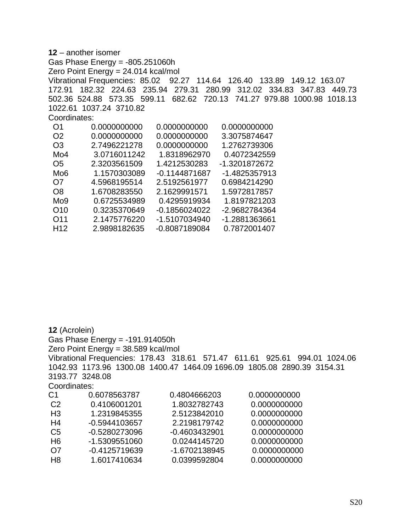**12** – another isomer Gas Phase Energy = -805.251060h Zero Point Energy = 24.014 kcal/mol Vibrational Frequencies: 85.02 92.27 114.64 126.40 133.89 149.12 163.07 172.91 182.32 224.63 235.94 279.31 280.99 312.02 334.83 347.83 449.73 502.36 524.88 573.35 599.11 682.62 720.13 741.27 979.88 1000.98 1018.13 1022.61 1037.24 3710.82 Coordinates: O1 0.0000000000 0.0000000000 0.0000000000 O2 0.0000000000 0.0000000000 3.3075874647 O3 2.7496221278 0.0000000000 1.2762739306 Mo4 3.0716011242 1.8318962970 0.4072342559 O5 2.3203561509 1.4212530283 -1.3201872672 Mo6 1.1570303089 -0.1144871687 -1.4825357913 O7 4.5968195514 2.5192561977 0.6984214290 O8 1.6708283550 2.1629991571 1.5972817857 Mo9 0.6725534989 0.4295919934 1.8197821203 O10 0.3235370649 -0.1856024022 -2.9682784364 O11 2.1475776220 -1.5107034940 -1.2881363661

| H <sub>12</sub> | 2.9898182635 | -0.8087189084 | 0.7872001407 |
|-----------------|--------------|---------------|--------------|
|                 |              |               |              |

**12** (Acrolein) Gas Phase Energy = -191.914050h Zero Point Energy = 38.589 kcal/mol Vibrational Frequencies: 178.43 318.61 571.47 611.61 925.61 994.01 1024.06 1042.93 1173.96 1300.08 1400.47 1464.09 1696.09 1805.08 2890.39 3154.31 3193.77 3248.08 Coordinates: C1 0.6078563787 0.4804666203 0.0000000000 C2 0.4106001201 1.8032782743 0.0000000000 H3 1.2319845355 2.5123842010 0.0000000000 H4 -0.5944103657 2.2198179742 0.0000000000 C5 -0.5280273096 -0.4603432901 0.0000000000 H6 -1.5309551060 0.0244145720 0.0000000000 O7 -0.4125719639 -1.6702138945 0.0000000000 H8 1.6017410634 0.0399592804 0.0000000000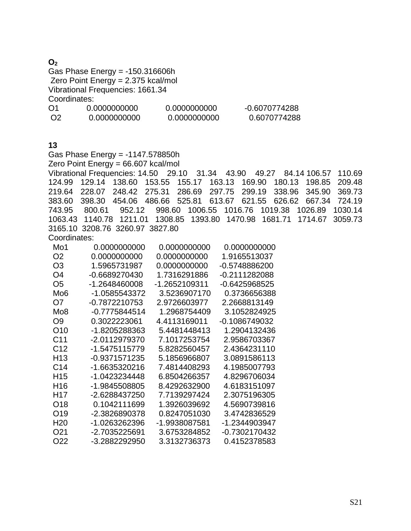### $O<sub>2</sub>$

Gas Phase Energy = -150.316606h Zero Point Energy = 2.375 kcal/mol Vibrational Frequencies: 1661.34 Coordinates:

| O <sub>1</sub> | 0.0000000000 | 0.0000000000 | $-0.6070774288$ |
|----------------|--------------|--------------|-----------------|
| O2             | 0.0000000000 | 0.0000000000 | 0.6070774288    |

# **13**

Gas Phase Energy = -1147.578850h Zero Point Energy = 66.607 kcal/mol

Vibrational Frequencies: 14.50 29.10 31.34 43.90 49.27 84.14 106.57 110.69 124.99 129.14 138.60 153.55 155.17 163.13 169.90 180.13 198.85 209.48 219.64 228.07 248.42 275.31 286.69 297.75 299.19 338.96 345.90 369.73 383.60 398.30 454.06 486.66 525.81 613.67 621.55 626.62 667.34 724.19 743.95 800.61 952.12 998.60 1006.55 1016.76 1019.38 1026.89 1030.14 1063.43 1140.78 1211.01 1308.85 1393.80 1470.98 1681.71 1714.67 3059.73 3165.10 3208.76 3260.97 3827.80

Coordinates:

| Mo1             | 0.0000000000  | 0.0000000000  | 0.0000000000  |
|-----------------|---------------|---------------|---------------|
| O <sub>2</sub>  | 0.0000000000  | 0.0000000000  | 1.9165513037  |
| O3              | 1.5965731987  | 0.0000000000  | -0.5748886200 |
| O4              | -0.6689270430 | 1.7316291886  | -0.2111282088 |
| O <sub>5</sub>  | -1.2648460008 | -1.2652109311 | -0.6425968525 |
| Mo6             | -1.0585543372 | 3.5236907170  | 0.3736656388  |
| O <sub>7</sub>  | -0.7872210753 | 2.9726603977  | 2.2668813149  |
| Mo <sub>8</sub> | -0.7775844514 | 1.2968754409  | 3.1052824925  |
| O9              | 0.3022223061  | 4.4113169011  | -0.1086749032 |
| O <sub>10</sub> | -1.8205288363 | 5.4481448413  | 1.2904132436  |
| C11             | -2.0112979370 | 7.1017253754  | 2.9586703367  |
| C <sub>12</sub> | -1.5475115779 | 5.8282560457  | 2.4364231110  |
| H <sub>13</sub> | -0.9371571235 | 5.1856966807  | 3.0891586113  |
| C <sub>14</sub> | -1.6635320216 | 7.4814408293  | 4.1985007793  |
| H <sub>15</sub> | -1.0423234448 | 6.8504266357  | 4.8296706034  |
| H16             | -1.9845508805 | 8.4292632900  | 4.6183151097  |
| H <sub>17</sub> | -2.6288437250 | 7.7139297424  | 2.3075196305  |
| O <sub>18</sub> | 0.1042111699  | 1.3926039692  | 4.5690739816  |
| O <sub>19</sub> | -2.3826890378 | 0.8247051030  | 3.4742836529  |
| H <sub>20</sub> | -1.0263262396 | -1.9938087581 | -1.2344903947 |
| O21             | -2.7035225691 | 3.6753284852  | -0.7302170432 |
| O22             | -3.2882292950 | 3.3132736373  | 0.4152378583  |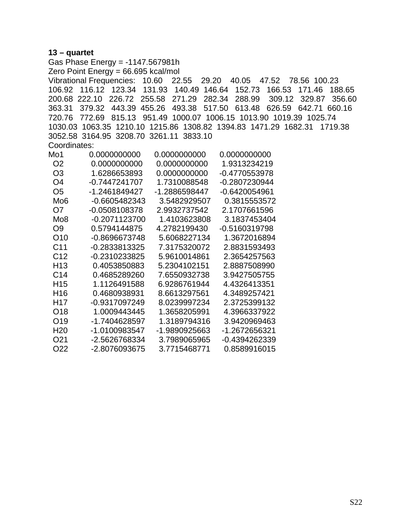#### **13 – quartet**

Gas Phase Energy = -1147.567981h Zero Point Energy = 66.695 kcal/mol Vibrational Frequencies: 10.60 22.55 29.20 40.05 47.52 78.56 100.23 106.92 116.12 123.34 131.93 140.49 146.64 152.73 166.53 171.46 188.65 200.68 222.10 226.72 255.58 271.29 282.34 288.99 309.12 329.87 356.60 363.31 379.32 443.39 455.26 493.38 517.50 613.48 626.59 642.71 660.16 720.76 772.69 815.13 951.49 1000.07 1006.15 1013.90 1019.39 1025.74 1030.03 1063.35 1210.10 1215.86 1308.82 1394.83 1471.29 1682.31 1719.38 3052.58 3164.95 3208.70 3261.11 3833.10 Coordinates: Mo1 0.0000000000 0.0000000000 0.0000000000 O2 0.0000000000 0.0000000000 1.9313234219 O3 1.6286653893 0.0000000000 -0.4770553978 O4 -0.7447241707 1.7310088548 -0.2807230944 O5 -1.2461849427 -1.2886598447 -0.6420054961 Mo6 -0.6605482343 3.5482929507 0.3815553572 O7 -0.0508108378 2.9932737542 2.1707661596 Mo8 -0.2071123700 1.4103623808 3.1837453404 O9 0.5794144875 4.2782199430 -0.5160319798 O10 -0.8696673748 5.6068227134 1.3672016894 C11 -0.2833813325 7.3175320072 2.8831593493 C12 -0.2310233825 5.9610014861 2.3654257563 H13 0.4053850883 5.2304102151 2.8887508990 C14 0.4685289260 7.6550932738 3.9427505755 H15 1.1126491588 6.9286761944 4.4326413351 H16 0.4680938931 8.6613297561 4.3489257421 H17 -0.9317097249 8.0239997234 2.3725399132 O18 1.0009443445 1.3658205991 4.3966337922 O19 -1.7404628597 1.3189794316 3.9420969463 H20 -1.0100983547 -1.9890925663 -1.2672656321 O21 -2.5626768334 3.7989065965 -0.4394262339 O22 -2.8076093675 3.7715468771 0.8589916015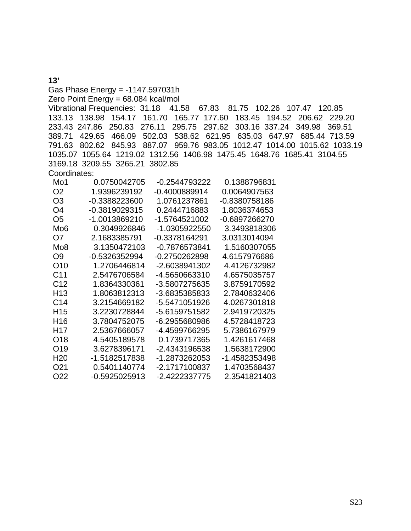**13'** Gas Phase Energy = -1147.597031h Zero Point Energy = 68.084 kcal/mol Vibrational Frequencies: 31.18 41.58 67.83 81.75 102.26 107.47 120.85 133.13 138.98 154.17 161.70 165.77 177.60 183.45 194.52 206.62 229.20 233.43 247.86 250.83 276.11 295.75 297.62 303.16 337.24 349.98 369.51 389.71 429.65 466.09 502.03 538.62 621.95 635.03 647.97 685.44 713.59 791.63 802.62 845.93 887.07 959.76 983.05 1012.47 1014.00 1015.62 1033.19 1035.07 1055.64 1219.02 1312.56 1406.98 1475.45 1648.76 1685.41 3104.55 3169.18 3209.55 3265.21 3802.85 Coordinates:

| Mo1             | 0.0750042705    | -0.2544793222 | 0.1388796831  |
|-----------------|-----------------|---------------|---------------|
| O2              | 1.9396239192    | -0.4000889914 | 0.0064907563  |
| O3              | -0.3388223600   | 1.0761237861  | -0.8380758186 |
| O4              | $-0.3819029315$ | 0.2444716883  | 1.8036374653  |
| O5              | -1.0013869210   | -1.5764521002 | -0.6897266270 |
| Mo6             | 0.3049926846    | -1.0305922550 | 3.3493818306  |
| O7              | 2.1683385791    | -0.3378164291 | 3.0313014094  |
| Mo8             | 3.1350472103    | -0.7876573841 | 1.5160307055  |
| O9              | -0.5326352994   | -0.2750262898 | 4.6157976686  |
| O <sub>10</sub> | 1.2706446814    | -2.6038941302 | 4.4126732982  |
| C11             | 2.5476706584    | -4.5650663310 | 4.6575035757  |
| C <sub>12</sub> | 1.8364330361    | -3.5807275635 | 3.8759170592  |
| H <sub>13</sub> | 1.8063812313    | -3.6835385833 | 2.7840632406  |
| C <sub>14</sub> | 3.2154669182    | -5.5471051926 | 4.0267301818  |
| H <sub>15</sub> | 3.2230728844    | -5.6159751582 | 2.9419720325  |
| H <sub>16</sub> | 3.7804752075    | -6.2955680986 | 4.5728418723  |
| H17             | 2.5367666057    | -4.4599766295 | 5.7386167979  |
| O <sub>18</sub> | 4.5405189578    | 0.1739717365  | 1.4261617468  |
| O <sub>19</sub> | 3.6278396171    | -2.4343196538 | 1.5638172900  |
| H <sub>20</sub> | -1.5182517838   | -1.2873262053 | -1.4582353498 |
| O21             | 0.5401140774    | -2.1717100837 | 1.4703568437  |
| O22             | -0.5925025913   | -2.4222337775 | 2.3541821403  |